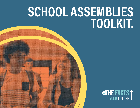# **SCHOOL ASSEMBLIES TOOLKIT.**

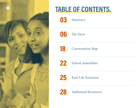

# **TABLE OF CONTENTS.**



Summary

The Facts

[Conversation Map](#page-17-0)

[School Assemblies](#page-21-0)

[Real-Life Scenarios](#page-24-0)

[Additional Resources](#page-27-0)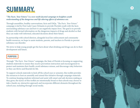# <span id="page-2-0"></span>**SUMMARY.**

#### *"The Facts. Your Future." is a new multi-faceted campaign to heighten youth understanding of the dangerous and life-altering effects of substance use.*

Through assemblies, healthy conversations, facts and FAQs, *"The Facts. Your Future."* campaign is led by First Lady Casey DeSantis to provide Florida's youth with the facts surrounding substance use and how it can negatively impact lives. The goal is to provide students with factual information on the dangerous impacts of drugs and alcohol so that they can make well-informed, educated decisions about their future.

In partnership with school districts, alongside local law enforcement and community health resources, we hope to assist students, parents, and teachers in Florida to prevent substance use disorder.

We strive to help young people get the facts about what drinking and drugs can do to their development and future.

### **PURPOSE:**

Through *"The Facts. Your Future."* campaign, the State of Florida is focusing on supporting students statewide to ensure they receive prevention instruction and encouragement to protect and maintain their health, avoid substance misuse, and discourage risky behaviors so they can thrive and flourish for life.

To support schools statewide to kick off the school year or semester, this toolkit provides the resources to host an assembly and extend this initiative through campaign materials. To continue keeping students informed and assist with smart and safe decision making as they grow, the tactics of this toolkit are intentionally broad so that schools may choose to take a hands-on, interactive approach and incorporate different elements throughout the school year, including through social media.

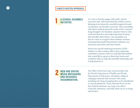#### **1 A SCHOOL ASSEMBLY INITIATIVE.**

As a way to directly engage with youth, schools across the state will be provided this toolkit to aid in planning of an interactive assembly program focused on substance use disorder awareness. These assemblies will inform students about the myths of the "common" drugs thought to be harmless, empower them to take control of their lives and make important decisions that will affect their futures. The assemblies can also be a time to recognize those students, teachers, and paraprofessionals that prioritize substance use awareness, prevention and intervention.

Invite your school's student government, SADD chapters or other campus clubs to join a planning committee to partner with you and help find students who would like to speak or share their stories and contribute ideas to make the assembly interesting, and to help promote it.



The Office of the First Lady, in partnership with the Florida Department of Health and Florida Department of Education, will deploy collateral campaign materials that resonate with youth, including anti-drug messaging that can be distributed on various platforms. These materials focus on the facts behind substance use, long-term effects of specific substances, and help youth say no to drugs and alcohol.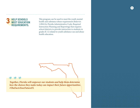

This program can be used to meet the youth mental health and substance abuse requirement (Rule 6A-1.094124, Florida Administrative Code, Required Instruction Planning and Reporting) that requires school districts to provide instruction to students in grades K-12 related to youth substance use and abuse health education.



#### \*\*\*

*Together, Florida will empower our students and help them determine how the choices they make today can impact their future opportunities. #TheFactsYourFutureFL*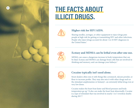<span id="page-5-0"></span>

## **THE FACTS ABOUT ILLICIT DRUGS.**



## **Higher risk for HIV/AIDS.**

Sharing needles, syringes, or other equipment to inject drugs puts people at high risk for getting or transmitting HIV and other infections. People who inject drugs account for about 1 in 10 HIV diagnoses in the United States.1



## **Ecstasy and MDMA can be lethal even after one use.**

MDMA can cause a dangerous increase in body temperature that can be fatal. Ecstasy and MDMA can damage brain cells that are involved in thinking and memory, and can damage your kidneys.<sup>2</sup>



## **Cocaine typically isn't used alone.**

Street dealers often mix it with things like cornstarch, talcum powder, or flour to increase profits. They may also mix it with other drugs such as the stimulant amphetamine or fentanyl—an extremely lethal drug even at very low doses.

Cocaine makes the heart beat faster and blood pressure and body temperature go up.<sup>3</sup> It also can make the heart beat abnormally. Cocaine is a type of stimulant that was involved in nearly 1 in 5 overdose deaths during 2017.4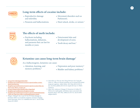

## **Long-term effects of cocaine include:**

- **•** Reproductive damage and infertility.
- **•** Paranoia and hallucinations.
- **•** Movement disorders such as Parkinson's.
- **•** Heart attack, stroke, or seizure.5



#### **The effects of meth include:**

- **•** Psychosis including hallucinations, delusions, and paranoia that can last for months or years.
- **•** Deteriorated skin and development of sores.
- Tooth decay and loss.<sup>6</sup>



#### **Ketamine can cause long-term brain damage7**

As a hallucinogenic, ketamine can cause:

- **•** Attention, learning, and memory problems.<sup>8</sup>
- Depression and poor memory.<sup>8</sup>
- Bladder and kidney problems.<sup>9</sup>

- 1. [cdc.gov/hiv/risk/drugs/index.html](https://www.cdc.gov/hiv/risk/drugs/index.html)
- 2. [drugabuse.gov/publications/research-reports/mdma-ecstasy](https://www.drugabuse.gov/publications/research-reports/mdma-ecstasy-abuse/Introduction)[abuse/Introduction](https://www.drugabuse.gov/publications/research-reports/mdma-ecstasy-abuse/Introduction)
- 3. [drugabuse.gov/publications/research-reports/cocaine/what-are](https://www.drugabuse.gov/publications/research-reports/cocaine/what-are-short-term-effects-cocaine-use)[short-term-effects-cocaine-use](https://www.drugabuse.gov/publications/research-reports/cocaine/what-are-short-term-effects-cocaine-use)
- 4. [cdc.gov/drugoverdose/deaths/other-drugs.html](http://allamericanspeakers.com/speakers/1240/Laura-Baugh)
- 5. [drugabuse.gov/publications/drugfacts/cocaine](https://www.drugabuse.gov/publications/drugfacts/cocaine)
- 6. [drugabuse.gov/publications/research-reports/methamphetamine](https://www.drugabuse.gov/publications/research-reports/methamphetamine/what-are-long-term-effects-methamphetamine-misuse)  [/what-are-long-term-effects-methamphetamine-misuse](https://www.drugabuse.gov/publications/research-reports/methamphetamine/what-are-long-term-effects-methamphetamine-misuse)
- 7. Wang C, Zheng D, Xu J, Lam W, Yew DT. Brain damages in ketamine addicts as revealed by magnetic resonance imaging. Front Neuroanat. 2013;7:23. Published 2013 Jul 17. doi:10.3389/ fnana.2013.00023
- 8. Chan KW, Lee TM, Siu AM, Wong DP, Kam CM, Tsang SK, Chan CC. Effects of chronic ketamine use on frontal and medial temporal cognition. Addict Behav. 2013 May;38(5):2128-32. doi: 10.1016/j.addbeh.2013.01.014. Epub 2013 Jan 31. PMID: 23435274.
- 9. Selby NM, Anderson J, Bungay P, Chesterton LJ, Kolhe NV. Obstructive nephropathy and kidney injury associated with ketamine abuse. NDT Plus. 2008;1(5):310-312. doi:10.1093/ ndtplus/sfn054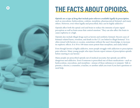# **THE FACTS ABOUT OPIOIDS.**

*Opioids are a type of drug that include pain relievers available legally by prescription*, such as oxycodone, hydrocodone, codeine, morphine, pharmaceutical fentanyl, and many others. However, even when legally and prescribed, they can be highly addictive. 1

Opioids affect both the spinal cord and brain to reduce the intensity of pain-signal perception as well as brain areas that control emotion. 2 They can also affect the brain to cause euphoria or a high.

Opioids also include illegal drugs such as heroin and synthetic fentanyl. Recent cases of fentanyl-related harm, overdose, and death in the U.S. are linked to illegal fentanyl.<sup>3</sup> It is often mixed with heroin or cocaine, sometimes without the user's knowledge, to increase its euphoric effects. It is 50 to 100 times more potent than morphine, and easily lethal. 4

Even though heroin is highly addictive, more people struggle with addiction to prescription pain relievers. Many young people who inject heroin report misuse of prescription opioids before starting to use heroin. 5

Many people are prescribed opioids out of medical necessity, but opioids can still be dangerous and addictive. Even if someone is prescribed one of these medications—such as hydrocodone, oxycodone, and morphine—misuse of these substances is rampant. Talk to parents, a doctor, a counselor, a teacher, or another adult you trust if you have questions or need help.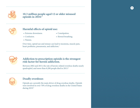

#### **10.3 million people aged 12 or older misused opioids in 2018.6**



## **Harmful effects of opioid use:**

**•** Extreme drowsiness.

**•** Constipation.

**•** Confusion.

**•** Slowed breathing.

**•** Nausea.

Over time, opioid use and misuse can lead to insomnia, muscle pain, heart problems, pneumonia, and addiction.<sup>7</sup>



#### **Addiction to prescription opioids is the strongest risk factor for heroin addiction.**

Between 2002 and 2013, the rate of heroin-related overdose deaths nearly quadrupled, and more than 8,200 people died in 2013.<sup>8</sup>



### **Deadly overdoses**

Opioids are currently the main driver of drug overdose deaths. Opioids were involved in over 70% of drug overdose deaths in the United States during 2019.<sup>9</sup>

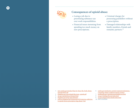

#### **Consequences of opioid abuse:**

- **•** Losing a job due to prioritizing substance use over work responsibilities.
- **•** Financial issues stemming from spending too much money on new prescriptions.
- **•** Criminal charges for possessing painkillers without a prescription.
- **•** Damaged relationships with family members, friends and romantic partners.10

- 1. [store.samhsa.gov/product/Tips-for-Teens-The-Truth-About-](https://store.samhsa.gov/product/Tips-for-Teens-The-Truth-About-Opioids/PEP19-08)[Opioids/PEP19-08](https://store.samhsa.gov/product/Tips-for-Teens-The-Truth-About-Opioids/PEP19-08)
- 2. [drugabuse.gov/sites/default/files/mom\\_opioids.pdf](https://www.drugabuse.gov/sites/default/files/mom_opioids.pdf)
- 3. [cdc.gov/opioids/basics/fentanyl.html](https://www.cdc.gov/opioids/basics/fentanyl.html)
- 4. [drugabuse.gov/drug-topics/fentanyl](https://www.drugabuse.gov/drug-topics/fentanyl
)
- 5. [archives.drugabuse.gov/testimonies/2014/americas-addiction](https://archives.drugabuse.gov/testimonies/2014/americas-addiction-to-opioids-heroin-prescription-drug-abuse#_ftn2)[to-opioids-heroin-prescription-drug-abuse#\\_ftn2](https://archives.drugabuse.gov/testimonies/2014/americas-addiction-to-opioids-heroin-prescription-drug-abuse#_ftn2)
- 6. [samhsa.gov/medication-assisted-treatment/medications](https://www.samhsa.gov/medication-assisted-treatment/medications-counseling-related-conditions/opioid-overdose)[counseling-related-conditions/opioid-overdose](https://www.samhsa.gov/medication-assisted-treatment/medications-counseling-related-conditions/opioid-overdose)
- 7. [medlineplus.gov/opioidmisuseandaddiction.html](https://medlineplus.gov/opioidmisuseandaddiction.html)
- 8. [cdc.gov/vitalsigns/heroin/index.html](https://www.cdc.gov/vitalsigns/heroin/index.html)
- 9. [cdc.gov/drugoverdose/deaths/index.html](https://www.cdc.gov/drugoverdose/deaths/index.html)
- 10. FPO CITATION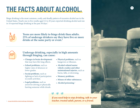# **<sup>11</sup> THE FACTS ABOUT ALCOHOL.**

Binge drinking is the most common, costly, and deadly pattern of excessive alcohol use in the United States. Nearly one in five youths aged 12 to 20 years reported drinking alcohol and one in 10 reported binge drinking in the past 30 days.<sup>1</sup>



**Teens are more likely to binge drink than adults. 25% of underage drinkers say they have five or more**  drinks at the same party or event.<sup>1</sup>



#### **Underage drinking, especially in high amounts through binging, can cause:**

- **• Changes in brain development** that may have life-long effects.
- **• School problems**, such as higher rates of absences or lower grades.
- **• Social problems**, such as fighting or lack of participation in youth activities.
- **• Legal problems**, such as arrest for driving or physically hurting someone while drunk.
- **• Physical problems**, such as hangovers or illnesses.
- **• Alcohol-related motor vehicle crashes and other unintentional injuries**, such as burns, falls, or drowning.
- **• Memory problems.**
- **• Misuse of other substances.**
- **• Alcohol poisoning.1**



*If you need help to stop drinking, talk to your*  1. [cdc.gov/alcohol/fact-sheets/underage-drinking.htm](https://www.cdc.gov/alcohol/fact-sheets/underage-drinking.htm) *teacher, trusted adult, parent, or a friend.*

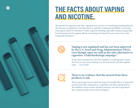

## **12 THE FACTS ABOUT VAPING AND NICOTINE.**

The spread of e-cigarettes and other vaping devices may be re-normalizing smoking behavior. The increase in popularity of nicotine devices and their widespread availability is reversing the progress made over decades to reduce cigarette smoking, especially among young people. It took decades for the negative effects of smoking to be found. Do you want to be on the wrong side of history?1



**Vaping is not regulated and has not been approved by the U.S. Food and Drug Administration (FDA), even though vapes are sold as the safer alternative to cigarettes. #FakeMarketingCampaign.2**

To put that in perspective, the FDA regulates everything from worms, the food you eat, to the makeup you use, but doesn't yet fully regulate vapes…. Scary, huh?



#### **There is no evidence that the aerosol from these products is safe.**

There is growing concern about the long-term health effects of vaporized nicotine and other chemicals in e-cigarettes and other vaping devices. The additives, heavy metals, ultrafine particles, and other ingredients they contain include toxins and carcinogens.<sup>3</sup>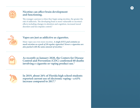

### **Nicotine can affect brain development and functioning.**

The younger a person is when they begin using nicotine, the greater the risk of addiction. The developing brain is more vulnerable to nicotine's effects including changes in attention and cognition, increased mood disorders and less impulse control.<sup>3</sup>



## **Vapes are just as addictive as cigarettes.**

Many vapes use even more nicotine. *A single JUUL pod contains as much nicotine as a pack of 20 regular cigarettes! Newer e-cigarettes are also packed with the same amount of nicotine. <sup>4</sup>*



**As recently as January 2020, the Centers for Disease Control and Prevention (CDC) confirmed 60 deaths involving e-cigarette or vaping product use.5**



**In 2019, about 26% of Florida high school students reported current use of electronic vaping—a 63% increase compared to 2017.6**

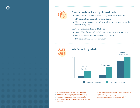

### **A recent national survey showed that:**

- **•** About 10% of U.S. youth believe e-cigarettes cause no harm.
- **•** 62% believe they cause little or some harm.
- **•** 28% believe they cause a lot of harm when they are used some days but not every day.

That's way up from a study in 2014 where:

- **•** Nearly 20% of young adults believed e-cigarettes cause no harm.
- **•** 53% believed that they are moderately harmful.
- **•** 27% believed they are very harmful.7



#### **Who's smoking what?**



- 1. [drugfree.org/article/how-vaping-affects-teens-health/](https://drugfree.org/article/how-vaping-affects-teens-health/)
- 2. www.[fda.gov/news-events/fda-voices-perspectives-fda](https://www.fda.gov/news-events/fda-voices/how-fda-regulating-e-cigarettes)[leadership-and-experts/how-fda-regulating-e-cigarettes](https://www.fda.gov/news-events/fda-voices/how-fda-regulating-e-cigarettes)
- 3. [e-cigarettes.surgeongeneral.gov/knowtherisks.html](http://e-cigarettes.surgeongeneral.gov/knowtherisks.html)
- 4. [teen.smokefree.gov/quit-vaping/vaping-addiction-nicotine](http://teen.smokefree.gov/quit-vaping/vaping-addiction-nicotine-withdrawal)[withdrawal](http://teen.smokefree.gov/quit-vaping/vaping-addiction-nicotine-withdrawal)
- 5. [cdc.gov/tobacco/basic\\_information/e-cigarettes/severe-lung](http://cdc.gov/tobacco/basic_information/e-cigarettes/severe-lung-disease.html)[disease.html](http://cdc.gov/tobacco/basic_information/e-cigarettes/severe-lung-disease.html)
- 6. [tobaccofreeflorida.com/current-issues/teen-vaping/](https://tobaccofreeflorida.com/current-issues/teen-vaping/)
- 7. [e-cigarettes.surgeongeneral.gov/getthefacts.html](http://e-cigarettes.surgeongeneral.gov/getthefacts.html)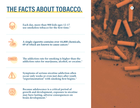# **<sup>15</sup> THE FACTS ABOUT TOBACCO.**



**Each day, more than 900 kids ages 12-17 use smokeless tobacco for the first time.1**



**A single cigarette contains over 44,800 chemicals, 69 of which are known to cause cancer.2**



**The addiction rate for smoking is higher than the addiction rates for marijuana, alcohol, or cocaine.3**

**Symptoms of serious nicotine addiction often occur only weeks or even just days after youth "experimentation" with smoking first begins.3**



**Because adolescence is a critical period of growth and development, exposure to nicotine may have lasting, adverse consequences on brain development.3**

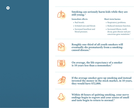

## **Smoking can seriously harm kids while they are still young. 3**

#### **Immediate effects:**

- **•** Bad breath.
- **•** Irritated eyes and throat.
- **•** Increased heartbeat and blood pressure.

#### **Short-term harms:**

- **•** Respiratory problems.
- **•** Reduced immune function.
- **•** Increased illness, tooth decay, gum disease and precancerous gene mutations.4



**Roughly one-third of all youth smokers will eventually die prematurely from a smokingcaused disease.4**



**On average, the life expectancy of a smoker is 10 years less than a nonsmoker. 5**



**If the average smoker gave up smoking and instead invested the money in the stock market, in 10 years, they would have \$52,000.** 



**Within 48 hours of quitting smoking, your nerve endings begin to regrow and your senses of smell and taste begin to return to normal. 6**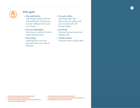## **Why quit?**

- **• You smell better.** Your breath, clothes and hair will smell better. Friends may be more willing to be in your car or home.
- **• You can smell again.** Your sense of smell will return. Food will taste better.
- **• Stay young.** Smoking turns your hair gray and causes your skin to sag faster.
- **• No more yellow.** Your fingernails will slowly turn less yellow and your stained teeth will become whiter.
- **• Get hired.** You may have an easier time finding a job.
- **• Call me maybe.** It may be easier to find a date.

1. [tobaccofreekids.org/assets/factsheets/0003.pdf](http://tobaccofreekids.org/assets/factsheets/0003.pdf)

2. [lung.org/stop-smoking/smoking-facts/](http://lung.org/stop-smoking/smoking-facts/)

3. cdc.gov/tobacco/data\_statistics/fact\_sheets/health\_effects/ effects\_cig\_smoking/index.htm

- 4. [tobaccofreekids.org/assets/factsheets/0001.pdf](http://tobaccofreekids.org/assets/factsheets/0001.pdf)
- 5. [cdc.gov/tobacco/data\\_statistics/fact\\_sheets/fast\\_facts/index.htm](http://cdc.gov/tobacco/data_statistics/fact_sheets/fast_facts/index.htm)

6. [medlineplus.gov/ency/article/007532.htm](http://medlineplus.gov/ency/article/007532.htm)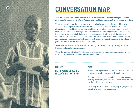<span id="page-17-0"></span>

# **CONVERSATION MAP.**

#### *Starting conversations about substance use disorder is hard. This messaging map breaks down specific concerns with facts that can help start those conversations, in person or online.*

These conversations are broad in nature so that schools may choose how to utilize them. The focus is to empower students to have difficult converstions with their peers. These elements can be used in tandem with assemblies, through individual classroom instruction, after-school events, club meetings, or on social media. By working with your school district, this initiative can potentially help satisfy the youth mental health and substance abuse requirement (Rule 6A-1.094124, Florida Administrative Code, Required Instruction Planning and Reporting) that school districts provide instruction to students in grades K-12 related to youth substance use and abuse health education.

Social media has become the best way for sharing information quickly, so help us spread the facts and counter misinformation.

Using the hashtag, #TheFactsYourFutureFL, schools, students and communities can use the information below to start social media conversations.

#### **BUT EVERYONE VAPES. IT CAN'T BE THAT BAD. MINDSET FACT**

Take a stand against companies that market addictive products to youth—especially through flavors.

E-cigarette aerosol can contain metals, lead, cancercausing chemicals, and acrolein, a herbicide primarily used to kill weeds<sup>1</sup>... #Gross

Because your brain is still developing, vaping before age 25 intensifies your addiction.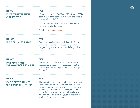| <b>MINDSET</b>              | <b>FACT</b>             |
|-----------------------------|-------------------------|
| <b>ISN'T IT BETTER THAN</b> | <b>New</b>              |
| <b>CIGARETTES?</b>          | cont                    |
|                             | $\overline{\text{Nat}}$ |

New e-cigarettes like Puff Bar, JUUL, Stig and HQD contain as much nicotine as two packs of cigarettes… Not so different, huh?<sup>2</sup>

It's time to cancel the influence of vaping. Get your facts from a reliable source.

Check out [thefactsnow.com](http://thefactsnow.com)

**IT'S NORMAL TO DRINK MINDSET FACT**

#### **DRINKING IS WHAT EVERYONE DOES FOR FUN. MINDSET FACT**

#### **MINDSET FACT**

#### **I'M SO OVERWHELMED WITH SCHOOL, LIFE, ETC.**

Early onset alcohol use is a risk factor for future problems, including heavier use of alcohol and drugs during adolescence and alcohol dependence in adulthood.3

...................................

On average, alcohol is a factor in the deaths of approximately 4,300 people under age 21 in the U.S. per year, shortening their lives by an average of 60 years.3

The State of Florida has made significant investments to ensure there are school and community-based providers, such as certified school counselors, school psychologists, school social workers, and other licensed mental health professionals available to help our state's children and youth overcome nonacademic barriers to academic success.4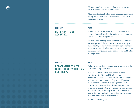**20**

**BUT I WANT TO BE ACCEPTED … MINDSET FACT**

It's hard to talk about, but confide in an adult you trust. Needing help is not a weakness.

Make sure to share healthy stress coping mechanisms with your students and prioritize mental health at home and school.

Friends don't force friends to make destructive or poor decisions. Knowing the facts can help you make the best decisions for yourself.

Students who participate in extracurricular activities such as sports, clubs, and music, are more likely to build healthy social relationships through a support system with friends who have the same interests. Plus, extracurricular participation improves mental health among students. 5

#### **MINDSET FACT**

**I DON'T WANT TO KEEP DOING DRUGS. WHERE CAN I GET HELP?**

Acknowledging that you need help is hard and is the crucial first step to recovery.

Substance Abuse and Mental Health Services Administration National Helpline is a free, confidential, 24/7, 365-day-a-year treatment referral and information service (in English and Spanish) for individuals and families facing mental and/ or substance use disorders. This service provides referrals to local treatment facilities, support groups, and community-based organizations. Callers can also order free publications and other information. The referral service is free of charge.

1-800-662-HELP (4357)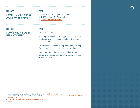## **I WANT TO QUIT VAPING, JUULS, OR SMOKING. MINDSET FACT**

#### **I DON'T KNOW HOW TO HELP MY FRIEND. MINDSET FACT**

Contact the Florida Quitline via phone at 1-877-U-CAN-NOW or online at [TobaccoFreeFlorida.com.](http://TobaccoFreeFlorida.com)

Be a friend. Save a life.

Helping a friend who is struggling with substance use is not easy. It is often difficult to initiate the conversation.

Encourage your friend to stop using and seek help from a parent, teacher, or other caring adult.

Reach out to an adult you trust and raise your concerns if you are worried about a friend, or contact 1-800-662-HELP.

1. Bein K, Leikauf GD. (2011) Acrolein—a pulmonary hazard. Mol Nutr Food Res 55(9):1342-60. doi: 10.1002/mnfr.201100279

2. [thefactsnow.com](https://www.thefactsnow.com/)

3. [store.samhsa.gov/product/facts-underage-drinking/PEP21-03-](https://store.samhsa.gov/product/facts-underage-drinking/PEP21-03-10-008) [10-008](https://store.samhsa.gov/product/facts-underage-drinking/PEP21-03-10-008)

4. [fldoe.org/mental-health/](https://www.fldoe.org/mental-health/)

5. [sciencedirect.com/science/article/abs/pii/S0091743520303157](https://www.sciencedirect.com/science/article/abs/pii/S0091743520303157)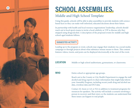<span id="page-21-0"></span>

# **2 SCHOOL ASSEMBLIES.**

## Middle and High School Template

Using this guide, schools will be able to plan assemblies to provide students with sciencebased facts so they can make well-informed, educated decisions about their future.

In partnership with health and local resource organizations' leadership, schools should reach out to local sports teams to invite a local celebrity or VIP to discuss why they stopped using drugs/alcohol. A description of the proposed events for middle and high school-aged students follows.

## **SUGGESTED ACTIVITY**

Leading up to the program or event, schools may engage their students via a social media campaign or through projects about what substance misuse means to them. This content features videos, tweets, and posts can be displayed electronically at the start of the event.

**LOCATION** Middle or high school auditoriums, gymnasiums, or classrooms.

### **WHO**

Entire school or appropriate age groups.

Reach out to the County or City Health Department to engage the staff alcohol and drug experts to share information that might help inform your Assembly Program, including recent youth drug and alcohol use data, overdose data and DUI data.

Contact Al-Anon or AA or NA in addition to treatment programs for resources for speakers. The activity will include a scenario involving a person in recovery and their story, so the students can understand that these issues can happen to real people.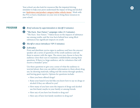Your school can also look for resources like the impaired driving simulator to help your peers understand the impact of drug and alcohol use: [fatalvision.com/product-category/sidne-vehicle-items/](https://www.fatalvision.com/product-category/sidne-vehicle-items/). Work with the PTA or host a fundraiser on your own to bring these resources to your school.

### **PROGRAM**

#### *Brief welcome by superintendent or sheriff (5 minutes).* O

 $\bullet$ *"The Facts. Your Future." campaign video (3-5 minutes). "The Facts. Your Future.*" Videos focus on the impacts of substance use among youths, and the true facts behind how using illicit substances has significant impacts on youth.

#### *Sheriff or emcee introduces VIP (5 minutes).*

# *Icebreaker.* **1234**

Print and distribute yes/no signs to audience and have the emcees/ speaker ask a series of questions of the youth audience and ask them to answer with the signs. The emcee may choose to have the audience close their eyes to maintain confidentiality among these questions. If there is a large audience, ask for volunteers that will receive a branded "prize."

Use these questions to give you a sense of what the audience is worried about, then you can deliver information to them about drug use, by showing materials, telling real-life stories through speakers, and having guest experts. Options for questions include:

- **•** Have you been offered drugs?
- **•** Raise your hand if you feel like you know how to say no drugs or alcohol if they are offered to you?
- **•** How many of you have seen the impacts of drugs and alcohol use first hand, maybe in your family or among friends.
- Have any of you have lost friends to drug use?
- **•** Have any of have lost family members to drug use?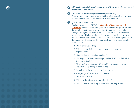## **24** *VIP speaks and reinforces the importance of knowing the facts to protect your future (10 minutes).* **567**

#### *VIP or emcee introduces guest speaker (15 minutes).*

Guest speaker options, can be an individual who has dealt and overcome substance abuse, and shares their story of rehabilitation.

#### $\bullet$ *Q & A session with youth.*

To close the group, use NIDA's ["10 Questions Teens Ask About Drugs](https://teens.drugabuse.gov/drug-facts/start-conversation-10-questions-teens-ask-about-drugs-and-health)  [and Health](https://teens.drugabuse.gov/drug-facts/start-conversation-10-questions-teens-ask-about-drugs-and-health)" to start a concluding conversation with the group. Present the question, ask the audience what they think the answer might be. Then go through the answers from NIDA and circle the answers that were accurate. This is a good way of showing that previously known information can be misleading or inaccurate, and provide a platform for the students to discuss what they learned. Examples of these questions could include:

- 1. What is the worst drug?
- 2. Which is more habit-forming—smoking cigarettes or vaping nicotine?
- 3. Can marijuana be used as medicine?
- 4. If a pregnant woman takes drugs/smokes/drinks alcohol, what happens to her baby?
- 5. How can I help someone with a problem stop taking drugs? How can I help if they don't want help?
- 6. Is vaping bad for you even if it's just flavoring?
- 7. Can you get addicted to ADHD meds?
- 8. What are bath salts?
- 9. What are the effects of prescription drugs?
- 10. Why do people take drugs when they know they're bad?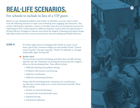# <span id="page-24-0"></span>**<sup>25</sup> REAL-LIFE SCENARIOS.**

## For schools to include in lieu of a VIP guest.

Based on your anticipated audience and number of attendees, you may want to select from the following scenarios to make your workshop more engaging and interactive. This activity will help give attendees a chance to translate what they are learning into practice by exploring how they would respond to different situations. It gives them the opportunity to develop effective strategies to educate teens about the dangers of abusing prescription drugs, help dispel myths and move teens toward positive decision making and health behaviors.

#### **SCENE #1**

It's Friday night and you're hanging with friends at a party. Good music, good vibes. Someone nudges you and another friend: "Anyone want to smoke?" One girl responds, "Weed? I'm definitely in. It's legal medicinally, right? No big deal."

#### *Reality check.*

The teen brain is actively developing and often does not fully develop until the mid-20s. Marijuana use during this period may have negative effects on the developing brain. These effects include:

- **•** Difficulty thinking and problem solving.
- **•** Problems with memory and learning.
- **•** Impaired coordination.
- **•** Difficulty maintaining attention.

Along with the developing brain, marijuana use in adolescence can also have serious impacts on a teen's school and social life. These effects include:

- **•** Decline in school performance.
- **•** Increased risk of mental health issues.
- **•** Impaired driving.
- **•** Potential for addiction.

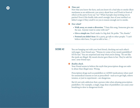#### **26** *Time out.*

Now that you know the facts, and you know it's a bad idea to smoke illicit marijuana as an adolescent, you worry about how you'll look in front of others at the party if you say "no." What if people stop inviting you to parties? Even if the health risks aren't enough, fear of your mother's or father's anger if they smell it on you is reason enough not to smoke.

- *Now what?*
	- **• Walk away, or create a diversion.** "I hate this song. Someone give me the aux. Anyone want to come with me?"
	- **• Give a simple no.** Don't make it a big deal. Be polite. "No, thanks."
	- **Pretend you didn't hear.** It's a party, go talk to other people. "I can't believe she's here, I've got to talk to her…."

#### **SCENE #2**

You are hanging out with your best friend, checking out each other's web pages. Your friend says, "Wanna try some of my mom's painkillers? It'll be fun." You are surprised and stop what you're doing. "It's not like the meds are illegal. My mom's doctor gave them to her. They're safe for sure," your friend says.

#### *Reality check.*

Your friend seems to believe the myth that prescription drugs are safer to abuse than illegal ones. Wrong.

Prescription drugs such as painkillers or ADHD medications when used for nonmedical reasons or not as prescribed—such as to get high, relieve tension, or just to experiment—are dangerous.

But it's not only addiction that a person risks when abusing prescription painkillers. For example, a single, large dose of painkillers can cause your breathing to slow to dangerous levels.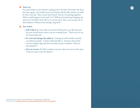#### $\bullet$

**27** *Time out.* You can't believe your friend is asking you to do this! You know the facts, but then again, you totally trust your friend and feel like maybe it would be OK, even fun. This is your best friend. You do everything together. What would happen if you said "no"? Will your friend stop hanging out with you? Wouldn't it be OK to try it just once? How can you get out of this situation without it becoming a big deal?

#### *Now what?*

- **• Tell it like it is.** Since this is your best friend, lay it on the line and let your friend know where you are coming from. "That's not for me. Let's just hang out."
- **• Be cool and change the subject.** Coming up with another activity can distract people. "I don't really feel like it. Anyway, there's this cool new phone app that lets you add cat pics to photos. Want to download it?"
- **• Give an excuse.** It's OK to make an excuse when you are on the spot. "I have to leave soon for dinner."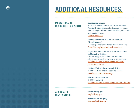# <span id="page-27-0"></span>**28 <b>ADDITIONAL RESOURCES.**

#### **MENTAL HEALTH RESOURCES FOR YOUTH**

#### **FindTreatment.gov**

Substance Abuse and Mental Health Services Administration database for licensed providers specializing in substance use disorders, addictions and mental illness. [findtreatment.gov](http://findtreatment.gov)

#### **Florida Behavioral Health Association (floridabha.org)**

Florida specific search for treatment providers. [floridabha.org/organizational-members/](http://floridabha.org/organizational-members/)

#### **Department of Children and Families Links to Managing Entities**

Connecting people without insurance or who are experiencing poverty to no-cost care. [myflfamilies.com/service-programs/samh/](https://myflfamilies.com/)  [managing-entities/](https://myflfamilies.com/)

#### **National Suicide Prevention Lifeline**  1-800-273-8255 or text "Jason" to 741741 [suicidepreventionlifeline.org](http://suicidepreventionlifeline.org)

**Florida Abuse Hotline**  1-800-96-ABUSE [myflfamilies.com/service-programs/abuse-hotline](http://myflfamilies.com/service-programs/abuse-hotline)

#### **ASSOCIATED RISK FACTORS**

**Stopbullying.gov**  [stopbullying.gov](http://stopbullying.gov)

**STOMP Out Bullying**  [stompoutbullying.org](http://stompoutbullying.org)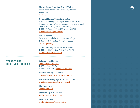#### **29 Florida Council Against Sexual Violence**

Sexual harassment, sexual violence, stalking 1-888-956-7273 [fcasv.org](http://fcasv.org)

#### **National Human Trafficking Hotline**

Polaris, funded by U.S. Department of Health and Human Services. Website includes live chat and local referral directory (city, state, zip code). 1-888-373-7888 or TTY: 711 or text 233733 [humantraffickinghotline.org](http://humantraffickinghotline.org)

#### **Love is Respect**

Prevent and end abusive teen relationships 1-866-331-9474 or text "loveis" to 22522 [loveisrespect.org](http://loveisrespect.org)

**National Eating Disorders Association**  1-800-931-2237 or text "NEDA" to 741741 [nationaleatingdisorders.org](http://nationaleatingdisorders.org)

#### **TOBACCO AND NICOTINE RESOURCES**

#### **Tobacco Free Florida**

[tobaccofreeflorida.com](http://tobaccofreeflorida.com) 1-877-U-CAN-NOW Tobacco Free Kids: [tobaccofreekids.org](https://www.tobaccofreekids.org/)

**American Lung Association**  [lung.org/stop-smoking/smoking-facts/](http://lung.org/stop-smoking/smoking-facts/)

**Students Working Against Tobacco (SWAT)**  [swatflorida.com/join-the-movement](https://www.swatflorida.com/join-the-movement/)

**The Facts Now**  [thefactsnow.com](http://thefactsnow.com)

**Students Against Nicotine**  [studnetsagainstnicotine.org](http://studnetsagainstnicotine.org)

**Truth Initiative** [truthinitiative.org/thisisquitting](http://truthinitiative.org/thisisquitting)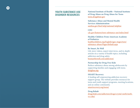#### **YOUTH SUBSTANCE USE DISORDER RESOURCES**

**National Institute of Health—National Institute of Drug Abuse on Drug Abuse for Teens**  [teens.drugabuse.gov](http://teens.drugabuse.gov)

**Substance Abuse and Mental Health Services Administration**  [samhsa.gov/find-help/national-helpline](http://samhsa.gov/find-help/national-helpline)

**CDC**  [cdc.gov/features/teen-substance-use/index.html](http://cdc.gov/features/teen-substance-use/index.html)

**Healthy Children-From American Academy of Pediatrics**  [healthychildren.org/English/ages-stages/teen/](http://healthychildren.org/English/ages-stages/teen/substance-abuse/Pages/default.aspx) [substance-abuse/Pages/default.aspx](http://healthychildren.org/English/ages-stages/teen/substance-abuse/Pages/default.aspx)

**Be Smart, Be Well**  Life-story videos, expert interviews, and in-depth articles on a variety of health topics, including addiction and drug safety. [besmartbewell.com/addiction/](http://besmartbewell.com/addiction/)

**Partnership for Drug-Free Kids**  Reduce substance abuse among adolescents by supporting families and engaging with teens. [drugfree.org](http://drugfree.org)

#### **SMART Recovery**

A leading self-empowering addiction recovery support group. The website provides resources for teens and youth support programs, meeting locations, and an online community. [smartrecovery.org/teens/](http://smartrecovery.org/teens/)

#### **Drug Rehab**

[drugrehab.com/addiction/drugs/crystal-meth/meth](http://drugrehab.com/addiction/drugs/crystal-meth/meth-vs-coke/)[vs-coke/](http://drugrehab.com/addiction/drugs/crystal-meth/meth-vs-coke/)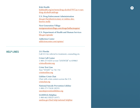**Kids Health**  [kidshealth.org/en/teens/drug-alcohol/?WT.ac=t-nav](http://kidshealth.org/en/teens/drug-alcohol/?WT.ac=t-nav-drug-alcohol#catdrugs)[drug-alcohol#catdrugs](http://kidshealth.org/en/teens/drug-alcohol/?WT.ac=t-nav-drug-alcohol#catdrugs)

**U.S. Drug Enforcement Administration**  [dea.gov/factsheets/ecstasy-or-mdma-also](https://www.dea.gov/factsheets/ecstasy-or-mdma-also-known-molly)[known-molly](https://www.dea.gov/factsheets/ecstasy-or-mdma-also-known-molly)

**Next Generation Village**  [nextgenerationvillage.com/drugs/hallucinogens/](http://nextgenerationvillage.com/drugs/hallucinogens/)

**U.S. Department of Health and Human Services**  [hhs.gov/opioids/](http://hhs.gov/opioids/)

**Addiction Center** [addictioncenter.com/opiates/](http://addictioncenter.com/opiates/)

**HELP LINES**

**211 Florida**  Call 211 for referral to treatment, counseling etc.

**Crisis Call Center**  1-800-273-8255 or text "ANSWER" to 839863 [crisiscallcenter.org](http://crisiscallcenter.org)

**Crisis Text Line**  Text "START" to 741-741 [crisistextline.org](http://crisistextline.org)

**Lifeline Crisis Chat**  Chat with crisis centers across the U.S. [crisischat.org](http://crisischat.org)

**National Suicide Prevention Lifeline**  1-800-273-TALK (8255) [suicidepreventionlifeline.org](http://suicidepreventionlifeline.org)

**SAMHSA's Helpline**  1-800-662-HELP (4357) [samhsa.gov/find-help/national-helpline](http://samhsa.gov/find-help/national-helpline)